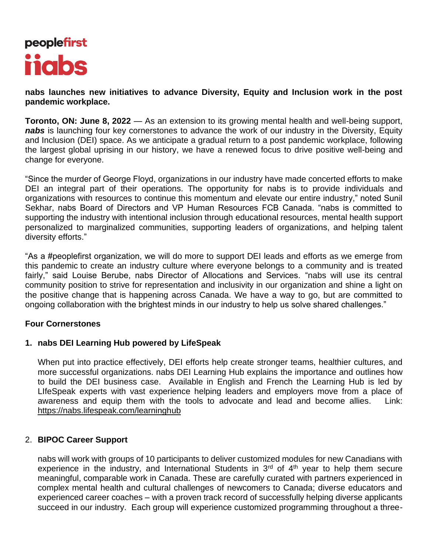# peoplefirst **ijabs**

**nabs launches new initiatives to advance Diversity, Equity and Inclusion work in the post pandemic workplace.** 

**Toronto, ON: June 8, 2022** — As an extension to its growing mental health and well-being support, *nabs* is launching four key cornerstones to advance the work of our industry in the Diversity, Equity and Inclusion (DEI) space. As we anticipate a gradual return to a post pandemic workplace, following the largest global uprising in our history, we have a renewed focus to drive positive well-being and change for everyone.

"Since the murder of George Floyd, organizations in our industry have made concerted efforts to make DEI an integral part of their operations. The opportunity for nabs is to provide individuals and organizations with resources to continue this momentum and elevate our entire industry," noted Sunil Sekhar, nabs Board of Directors and VP Human Resources FCB Canada. "nabs is committed to supporting the industry with intentional inclusion through educational resources, mental health support personalized to marginalized communities, supporting leaders of organizations, and helping talent diversity efforts."

"As a #peoplefirst organization, we will do more to support DEI leads and efforts as we emerge from this pandemic to create an industry culture where everyone belongs to a community and is treated fairly," said Louise Berube, nabs Director of Allocations and Services. "nabs will use its central community position to strive for representation and inclusivity in our organization and shine a light on the positive change that is happening across Canada. We have a way to go, but are committed to ongoing collaboration with the brightest minds in our industry to help us solve shared challenges."

## **Four Cornerstones**

# **1. nabs DEI Learning Hub powered by LifeSpeak**

When put into practice effectively, DEI efforts help create stronger teams, healthier cultures, and more successful organizations. nabs DEI Learning Hub explains the importance and outlines how to build the DEI business case. Available in English and French the Learning Hub is led by LIfeSpeak experts with vast experience helping leaders and employers move from a place of awareness and equip them with the tools to advocate and lead and become allies. Link: <https://nabs.lifespeak.com/learninghub>

## 2. **BIPOC Career Support**

nabs will work with groups of 10 participants to deliver customized modules for new Canadians with experience in the industry, and International Students in 3<sup>rd</sup> of 4<sup>th</sup> year to help them secure meaningful, comparable work in Canada. These are carefully curated with partners experienced in complex mental health and cultural challenges of newcomers to Canada; diverse educators and experienced career coaches – with a proven track record of successfully helping diverse applicants succeed in our industry. Each group will experience customized programming throughout a three-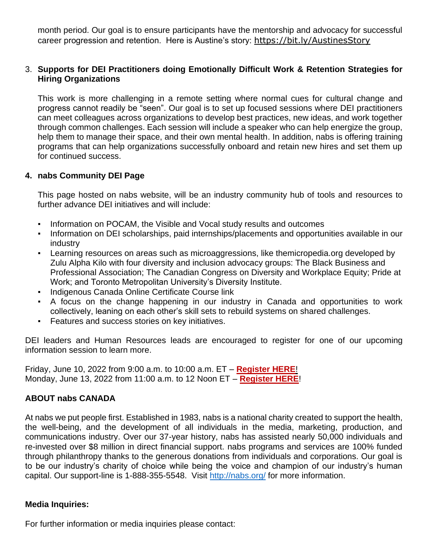month period. Our goal is to ensure participants have the mentorship and advocacy for successful career progression and retention. Here is Austine's story: <https://bit.ly/AustinesStory>

## 3. **Supports for DEI Practitioners doing Emotionally Difficult Work & Retention Strategies for Hiring Organizations**

This work is more challenging in a remote setting where normal cues for cultural change and progress cannot readily be "seen". Our goal is to set up focused sessions where DEI practitioners can meet colleagues across organizations to develop best practices, new ideas, and work together through common challenges. Each session will include a speaker who can help energize the group, help them to manage their space, and their own mental health. In addition, nabs is offering training programs that can help organizations successfully onboard and retain new hires and set them up for continued success.

## **4. nabs Community DEI Page**

This page hosted on nabs website, will be an industry community hub of tools and resources to further advance DEI initiatives and will include:

- Information on POCAM, the Visible and Vocal study results and outcomes
- **•** Information on DEI scholarships, paid internships/placements and opportunities available in our industry
- Learning resources on areas such as microaggressions, like themicropedia.org developed by Zulu Alpha Kilo with four diversity and inclusion advocacy groups: The Black Business and Professional Association; The Canadian Congress on Diversity and Workplace Equity; Pride at Work; and Toronto Metropolitan University's Diversity Institute.
- Indigenous Canada Online Certificate Course link
- A focus on the change happening in our industry in Canada and opportunities to work collectively, leaning on each other's skill sets to rebuild systems on shared challenges.
- Features and success stories on key initiatives.

DEI leaders and Human Resources leads are encouraged to register for one of our upcoming information session to learn more.

Friday, June 10, 2022 from 9:00 a.m. to 10:00 a.m. ET – **[Register HERE](https://bit.ly/nabsDEIInformationSession1)**! Monday, June 13, 2022 from 11:00 a.m. to 12 Noon ET – **[Register HERE](https://bit.ly/nabsDEIInformationSession2)**!

# **ABOUT nabs CANADA**

At nabs we put people first. Established in 1983, nabs is a national charity created to support the health, the well-being, and the development of all individuals in the media, marketing, production, and communications industry. Over our 37-year history, nabs has assisted nearly 50,000 individuals and re-invested over \$8 million in direct financial support. nabs programs and services are 100% funded through philanthropy thanks to the generous donations from individuals and corporations. Our goal is to be our industry's charity of choice while being the voice and champion of our industry's human capital. Our support-line is 1-888-355-5548. Visit<http://nabs.org/> [f](http://nabs.org/)or more information.

## **Media Inquiries:**

For further information or media inquiries please contact: